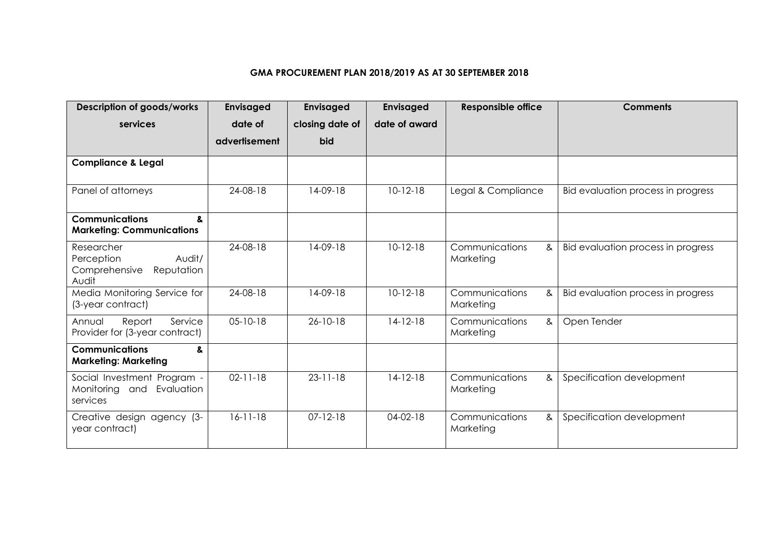## **GMA PROCUREMENT PLAN 2018/2019 AS AT 30 SEPTEMBER 2018**

| <b>Description of goods/works</b>                                          | Envisaged      | <b>Envisaged</b> | Envisaged     | <b>Responsible office</b>        | <b>Comments</b>                    |
|----------------------------------------------------------------------------|----------------|------------------|---------------|----------------------------------|------------------------------------|
| services                                                                   | date of        | closing date of  | date of award |                                  |                                    |
|                                                                            | advertisement  | <b>bid</b>       |               |                                  |                                    |
| <b>Compliance &amp; Legal</b>                                              |                |                  |               |                                  |                                    |
| Panel of attorneys                                                         | 24-08-18       | $14-09-18$       | $10-12-18$    | Legal & Compliance               | Bid evaluation process in progress |
| <b>Communications</b><br>&<br><b>Marketing: Communications</b>             |                |                  |               |                                  |                                    |
| Researcher<br>Audit/<br>Perception<br>Comprehensive<br>Reputation<br>Audit | 24-08-18       | $14-09-18$       | $10-12-18$    | Communications<br>&<br>Marketing | Bid evaluation process in progress |
| Media Monitoring Service for<br>(3-year contract)                          | 24-08-18       | $14-09-18$       | $10-12-18$    | Communications<br>&<br>Marketing | Bid evaluation process in progress |
| Report<br>Service<br>Annual<br>Provider for (3-year contract)              | $05 - 10 - 18$ | $26 - 10 - 18$   | $14-12-18$    | Communications<br>&<br>Marketing | Open Tender                        |
| <b>Communications</b><br>&<br><b>Marketing: Marketing</b>                  |                |                  |               |                                  |                                    |
| Social Investment Program -<br>Monitoring and Evaluation<br>services       | $02 - 11 - 18$ | $23 - 11 - 18$   | $14-12-18$    | Communications<br>&<br>Marketing | Specification development          |
| Creative design agency (3-<br>year contract)                               | $16 - 11 - 18$ | $07 - 12 - 18$   | $04-02-18$    | Communications<br>&<br>Marketing | Specification development          |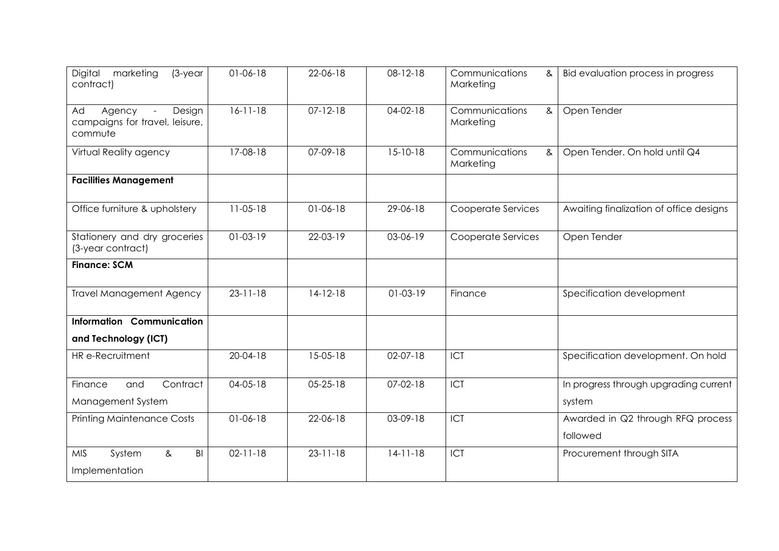| Digital<br>marketing<br>$(3$ -year<br>contract)                               | $01-06-18$     | 22-06-18       | 08-12-18       | Communications<br>&<br>Marketing | Bid evaluation process in progress      |
|-------------------------------------------------------------------------------|----------------|----------------|----------------|----------------------------------|-----------------------------------------|
| Design<br>Ad<br>Agency<br>$\sim$<br>campaigns for travel, leisure,<br>commute | $16-11-18$     | $07 - 12 - 18$ | $04-02-18$     | Communications<br>&<br>Marketing | Open Tender                             |
| Virtual Reality agency                                                        | 17-08-18       | 07-09-18       | $15 - 10 - 18$ | Communications<br>&<br>Marketing | Open Tender. On hold until Q4           |
| <b>Facilities Management</b>                                                  |                |                |                |                                  |                                         |
| Office furniture & upholstery                                                 | $11-05-18$     | $01-06-18$     | 29-06-18       | Cooperate Services               | Awaiting finalization of office designs |
| Stationery and dry groceries<br>(3-year contract)                             | $01-03-19$     | 22-03-19       | 03-06-19       | Cooperate Services               | Open Tender                             |
| <b>Finance: SCM</b>                                                           |                |                |                |                                  |                                         |
| <b>Travel Management Agency</b>                                               | $23 - 11 - 18$ | $14-12-18$     | $01-03-19$     | Finance                          | Specification development               |
| Information Communication                                                     |                |                |                |                                  |                                         |
| and Technology (ICT)                                                          |                |                |                |                                  |                                         |
| HR e-Recruitment                                                              | $20 - 04 - 18$ | 15-05-18       | 02-07-18       | ICT                              | Specification development. On hold      |
| Contract<br>Finance<br>and                                                    | $04 - 05 - 18$ | $05 - 25 - 18$ | $07-02-18$     | ICT                              | In progress through upgrading current   |
| Management System                                                             |                |                |                |                                  | system                                  |
| <b>Printing Maintenance Costs</b>                                             | $01-06-18$     | 22-06-18       | 03-09-18       | ICT                              | Awarded in Q2 through RFQ process       |
|                                                                               |                |                |                |                                  | followed                                |
| B <sub>l</sub><br><b>MIS</b><br>System<br>&<br>Implementation                 | $02 - 11 - 18$ | $23 - 11 - 18$ | $14-11-18$     | ICT                              | Procurement through SITA                |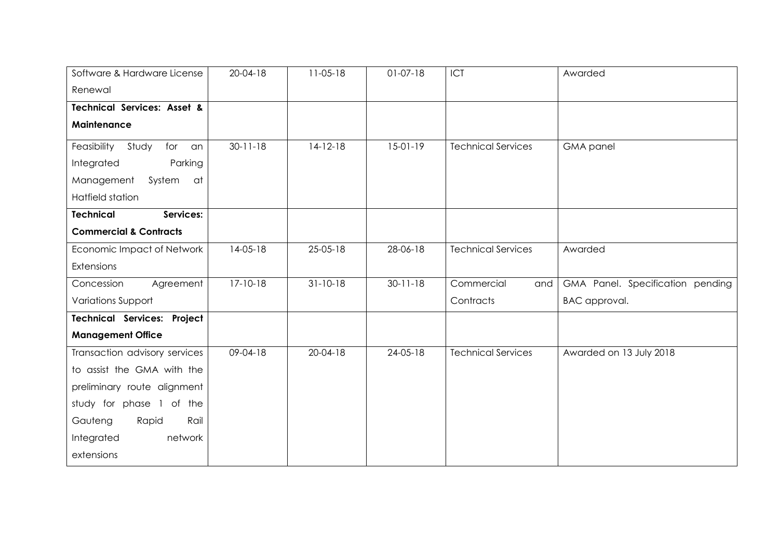| Software & Hardware License            | $20 - 04 - 18$ | $11-05-18$     | $01-07-18$     | ICT                       | Awarded                          |
|----------------------------------------|----------------|----------------|----------------|---------------------------|----------------------------------|
| Renewal                                |                |                |                |                           |                                  |
| <b>Technical Services: Asset &amp;</b> |                |                |                |                           |                                  |
| Maintenance                            |                |                |                |                           |                                  |
| Feasibility<br>Study<br>for<br>an      | $30 - 11 - 18$ | $14-12-18$     | $15-01-19$     | <b>Technical Services</b> | <b>GMA</b> panel                 |
| Integrated<br>Parking                  |                |                |                |                           |                                  |
| Management<br>System<br>- at           |                |                |                |                           |                                  |
| Hatfield station                       |                |                |                |                           |                                  |
| Services:<br><b>Technical</b>          |                |                |                |                           |                                  |
| <b>Commercial &amp; Contracts</b>      |                |                |                |                           |                                  |
| Economic Impact of Network             | $14-05-18$     | $25 - 05 - 18$ | 28-06-18       | <b>Technical Services</b> | Awarded                          |
| Extensions                             |                |                |                |                           |                                  |
| Concession<br>Agreement                | $17 - 10 - 18$ | $31 - 10 - 18$ | $30 - 11 - 18$ | Commercial<br>and         | GMA Panel. Specification pending |
| Variations Support                     |                |                |                | Contracts                 | BAC approval.                    |
| <b>Technical Services: Project</b>     |                |                |                |                           |                                  |
| <b>Management Office</b>               |                |                |                |                           |                                  |
| Transaction advisory services          | 09-04-18       | $20 - 04 - 18$ | 24-05-18       | <b>Technical Services</b> | Awarded on 13 July 2018          |
| to assist the GMA with the             |                |                |                |                           |                                  |
| preliminary route alignment            |                |                |                |                           |                                  |
| study for phase 1 of the               |                |                |                |                           |                                  |
| Gauteng<br>Rail<br>Rapid               |                |                |                |                           |                                  |
| Integrated<br>network                  |                |                |                |                           |                                  |
| extensions                             |                |                |                |                           |                                  |